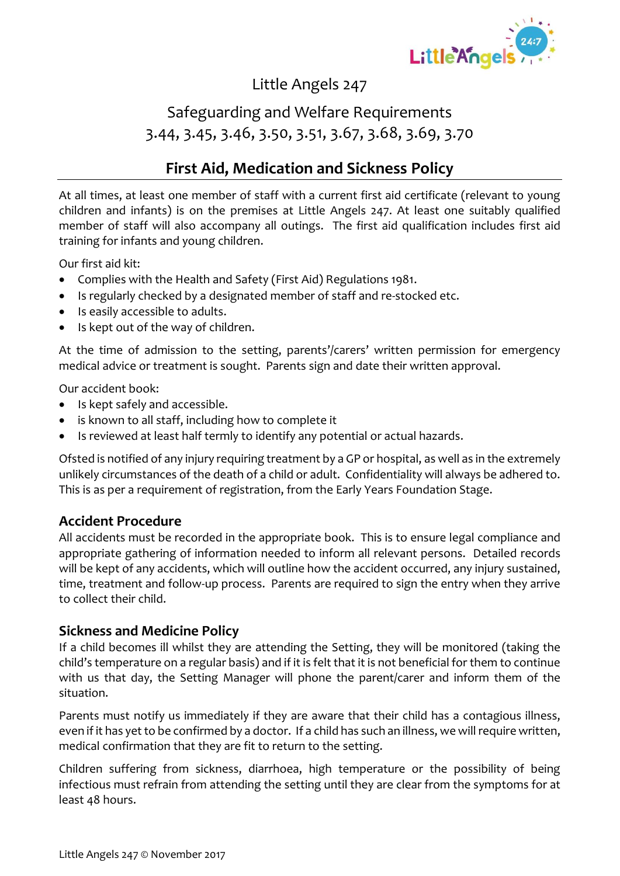

## Safeguarding and Welfare Requirements 3.44, 3.45, 3.46, 3.50, 3.51, 3.67, 3.68, 3.69, 3.70

### **First Aid, Medication and Sickness Policy**

At all times, at least one member of staff with a current first aid certificate (relevant to young children and infants) is on the premises at Little Angels 247. At least one suitably qualified member of staff will also accompany all outings. The first aid qualification includes first aid training for infants and young children.

Our first aid kit:

- Complies with the Health and Safety (First Aid) Regulations 1981.
- Is regularly checked by a designated member of staff and re-stocked etc.
- Is easily accessible to adults.
- Is kept out of the way of children.

At the time of admission to the setting, parents'/carers' written permission for emergency medical advice or treatment is sought. Parents sign and date their written approval.

Our accident book:

- Is kept safely and accessible.
- is known to all staff, including how to complete it
- Is reviewed at least half termly to identify any potential or actual hazards.

Ofsted is notified of any injury requiring treatment by a GP or hospital, as well as in the extremely unlikely circumstances of the death of a child or adult. Confidentiality will always be adhered to. This is as per a requirement of registration, from the Early Years Foundation Stage.

#### **Accident Procedure**

All accidents must be recorded in the appropriate book. This is to ensure legal compliance and appropriate gathering of information needed to inform all relevant persons. Detailed records will be kept of any accidents, which will outline how the accident occurred, any injury sustained, time, treatment and follow-up process. Parents are required to sign the entry when they arrive to collect their child.

#### **Sickness and Medicine Policy**

If a child becomes ill whilst they are attending the Setting, they will be monitored (taking the child's temperature on a regular basis) and if it is felt that it is not beneficial for them to continue with us that day, the Setting Manager will phone the parent/carer and inform them of the situation.

Parents must notify us immediately if they are aware that their child has a contagious illness, even if it has yet to be confirmed by a doctor. If a child has such an illness, we will require written, medical confirmation that they are fit to return to the setting.

Children suffering from sickness, diarrhoea, high temperature or the possibility of being infectious must refrain from attending the setting until they are clear from the symptoms for at least 48 hours.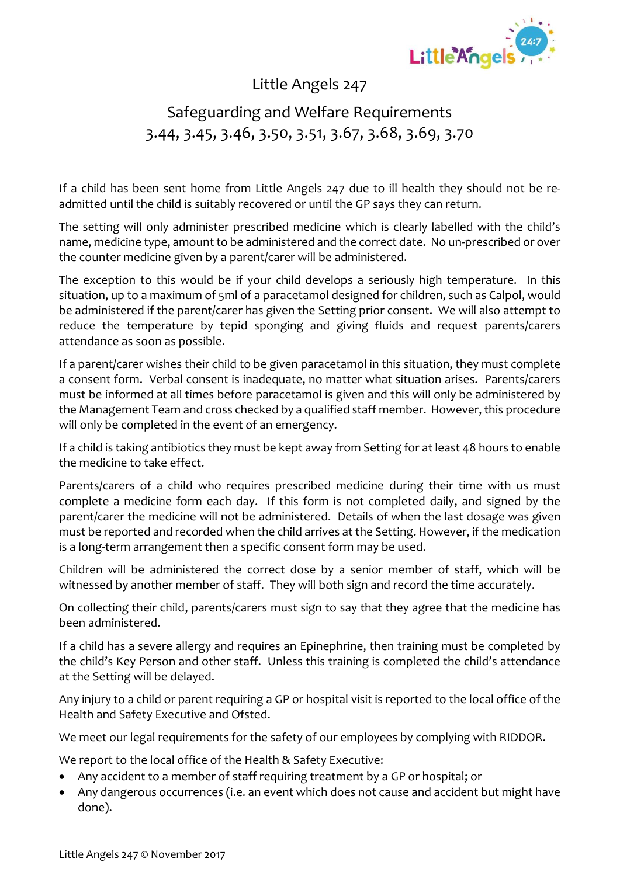

# Safeguarding and Welfare Requirements 3.44, 3.45, 3.46, 3.50, 3.51, 3.67, 3.68, 3.69, 3.70

If a child has been sent home from Little Angels 247 due to ill health they should not be readmitted until the child is suitably recovered or until the GP says they can return.

The setting will only administer prescribed medicine which is clearly labelled with the child's name, medicine type, amount to be administered and the correct date. No un-prescribed or over the counter medicine given by a parent/carer will be administered.

The exception to this would be if your child develops a seriously high temperature. In this situation, up to a maximum of 5ml of a paracetamol designed for children, such as Calpol, would be administered if the parent/carer has given the Setting prior consent. We will also attempt to reduce the temperature by tepid sponging and giving fluids and request parents/carers attendance as soon as possible.

If a parent/carer wishes their child to be given paracetamol in this situation, they must complete a consent form. Verbal consent is inadequate, no matter what situation arises. Parents/carers must be informed at all times before paracetamol is given and this will only be administered by the Management Team and cross checked by a qualified staff member. However, this procedure will only be completed in the event of an emergency.

If a child is taking antibiotics they must be kept away from Setting for at least 48 hours to enable the medicine to take effect.

Parents/carers of a child who requires prescribed medicine during their time with us must complete a medicine form each day. If this form is not completed daily, and signed by the parent/carer the medicine will not be administered. Details of when the last dosage was given must be reported and recorded when the child arrives at the Setting. However, if the medication is a long-term arrangement then a specific consent form may be used.

Children will be administered the correct dose by a senior member of staff, which will be witnessed by another member of staff. They will both sign and record the time accurately.

On collecting their child, parents/carers must sign to say that they agree that the medicine has been administered.

If a child has a severe allergy and requires an Epinephrine, then training must be completed by the child's Key Person and other staff. Unless this training is completed the child's attendance at the Setting will be delayed.

Any injury to a child or parent requiring a GP or hospital visit is reported to the local office of the Health and Safety Executive and Ofsted.

We meet our legal requirements for the safety of our employees by complying with RIDDOR.

We report to the local office of the Health & Safety Executive:

- Any accident to a member of staff requiring treatment by a GP or hospital; or
- Any dangerous occurrences (i.e. an event which does not cause and accident but might have done).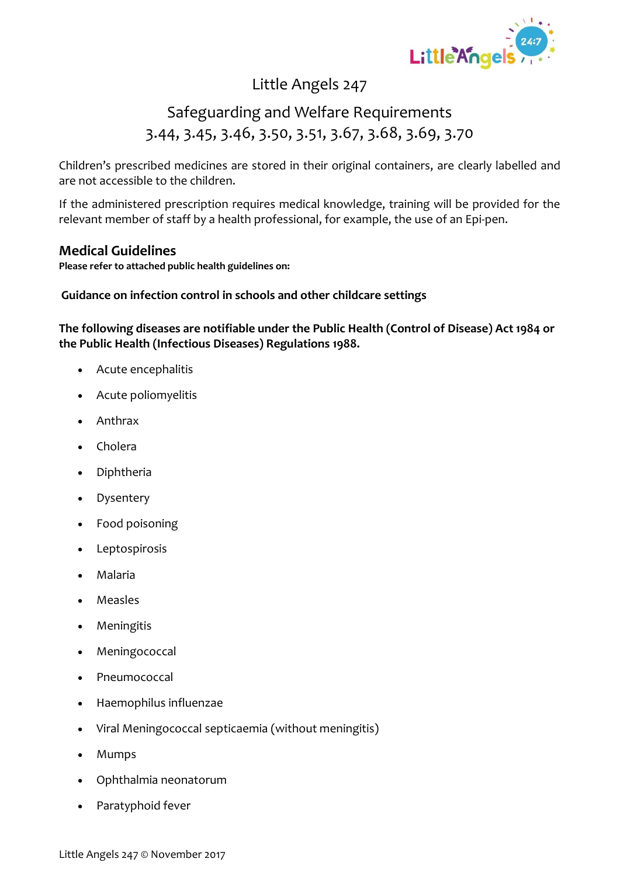

## Safeguarding and Welfare Requirements 3.44, 3.45, 3.46, 3.50, 3.51, 3.67, 3.68, 3.69, 3.70

Children's prescribed medicines are stored in their original containers, are clearly labelled and are not accessible to the children.

If the administered prescription requires medical knowledge, training will be provided for the relevant member of staff by a health professional, for example, the use of an Epi-pen.

#### **Medical Guidelines**

**Please refer to attached public health guidelines on:**

#### **Guidance on infection control in schools and other childcare settings**

**The following diseases are notifiable under the Public Health (Control of Disease) Act 1984 or the Public Health (Infectious Diseases) Regulations 1988.**

- Acute encephalitis
- Acute poliomyelitis
- Anthrax
- Cholera
- Diphtheria
- Dysentery
- Food poisoning
- Leptospirosis
- Malaria
- Measles
- Meningitis
- **Meningococcal**
- Pneumococcal
- Haemophilus influenzae
- Viral Meningococcal septicaemia (without meningitis)
- Mumps
- Ophthalmia neonatorum
- Paratyphoid fever